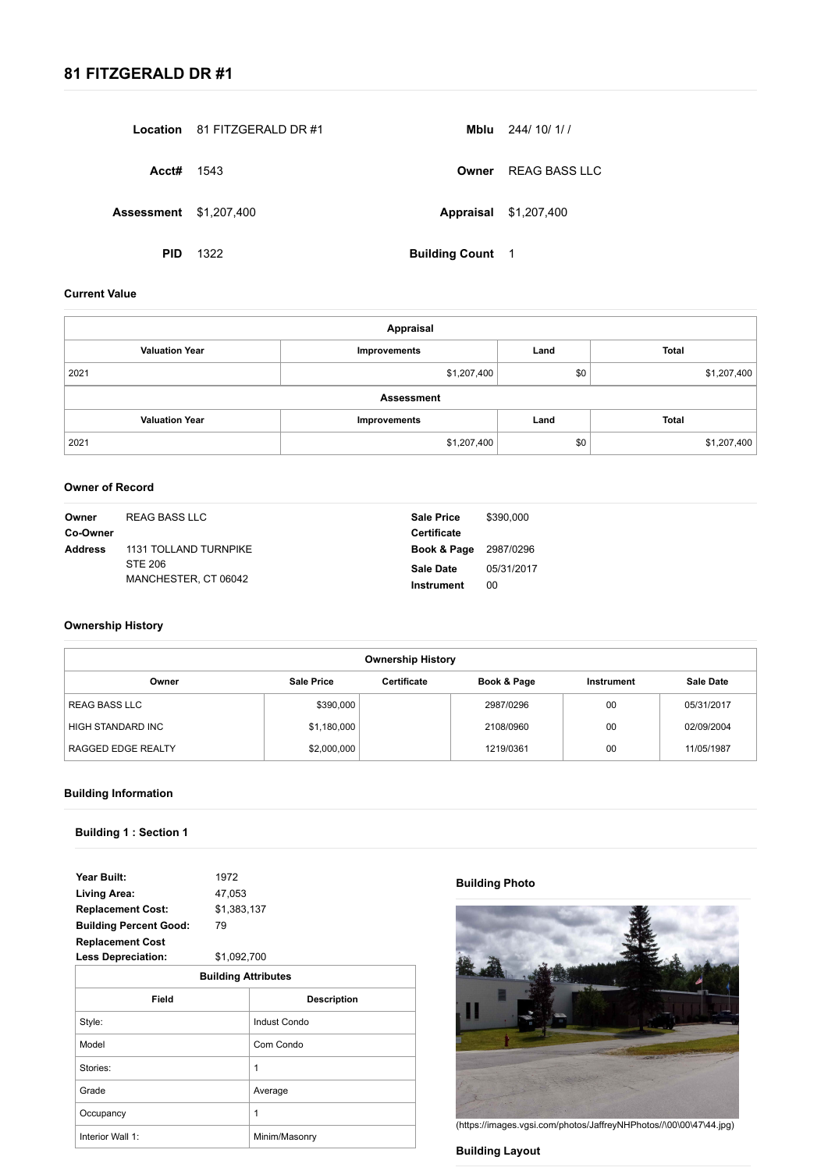|                               | <b>Location</b> 81 FITZGERALD DR #1 | Mblu                    | 244/ 10/ 1/ /                |
|-------------------------------|-------------------------------------|-------------------------|------------------------------|
| Acct#                         | 1543                                |                         | <b>Owner</b> REAG BASS LLC   |
| <b>Assessment \$1,207,400</b> |                                     |                         | <b>Appraisal \$1,207,400</b> |
| <b>PID</b>                    | 1322                                | <b>Building Count 1</b> |                              |

| Owner<br>Co-Owner | REAG BASS LLC         | <b>Sale Price</b><br><b>Certificate</b> | \$390,000  |
|-------------------|-----------------------|-----------------------------------------|------------|
| <b>Address</b>    | 1131 TOLLAND TURNPIKE | <b>Book &amp; Page</b> 2987/0296        |            |
| <b>STE 206</b>    |                       | <b>Sale Date</b>                        | 05/31/2017 |
|                   | MANCHESTER, CT 06042  | <b>Instrument</b>                       | 00         |

| <b>Year Built:</b><br>1972 |  |
|----------------------------|--|
|----------------------------|--|

| <b>Living Area:</b>           | 47,053      |
|-------------------------------|-------------|
| <b>Replacement Cost:</b>      | \$1,383,137 |
| <b>Building Percent Good:</b> | 79          |
| <b>Replacement Cost</b>       |             |
| <b>Less Depreciation:</b>     | \$1,092,700 |

| <b>Building Attributes</b>         |               |  |  |
|------------------------------------|---------------|--|--|
| <b>Field</b><br><b>Description</b> |               |  |  |
| Style:                             | Indust Condo  |  |  |
| Model                              | Com Condo     |  |  |
| Stories:                           | 1             |  |  |
| Grade                              | Average       |  |  |
| Occupancy                          | 1             |  |  |
| Interior Wall 1:                   | Minim/Masonry |  |  |

# **Building Photo**



[\(https://images.vgsi.com/photos/JaffreyNHPhotos//\00\00\47\44.jpg\)](https://images.vgsi.com/photos/JaffreyNHPhotos///00/00/47/44.jpg)

# **Building Layout**

# **81 FITZGERALD DR #1**

#### **Current Value**

| <b>Appraisal</b>      |              |      |              |  |  |
|-----------------------|--------------|------|--------------|--|--|
| <b>Valuation Year</b> | Improvements | Land | <b>Total</b> |  |  |
| 2021                  | \$1,207,400  | \$0  | \$1,207,400  |  |  |
| <b>Assessment</b>     |              |      |              |  |  |
| <b>Valuation Year</b> | Improvements | Land | <b>Total</b> |  |  |
| 2021                  | \$1,207,400  | \$0  | \$1,207,400  |  |  |

### **Owner of Record**

### **Ownership History**

| <b>Ownership History</b>                                                                                 |             |  |           |    |            |  |  |
|----------------------------------------------------------------------------------------------------------|-------------|--|-----------|----|------------|--|--|
| <b>Sale Price</b><br><b>Certificate</b><br><b>Sale Date</b><br>Book & Page<br>Owner<br><b>Instrument</b> |             |  |           |    |            |  |  |
| REAG BASS LLC                                                                                            | \$390,000   |  | 2987/0296 | 00 | 05/31/2017 |  |  |
| HIGH STANDARD INC                                                                                        | \$1,180,000 |  | 2108/0960 | 00 | 02/09/2004 |  |  |
| 00<br>RAGGED EDGE REALTY<br>\$2,000,000<br>1219/0361<br>11/05/1987                                       |             |  |           |    |            |  |  |

### **Building Information**

**Building 1 : Section 1**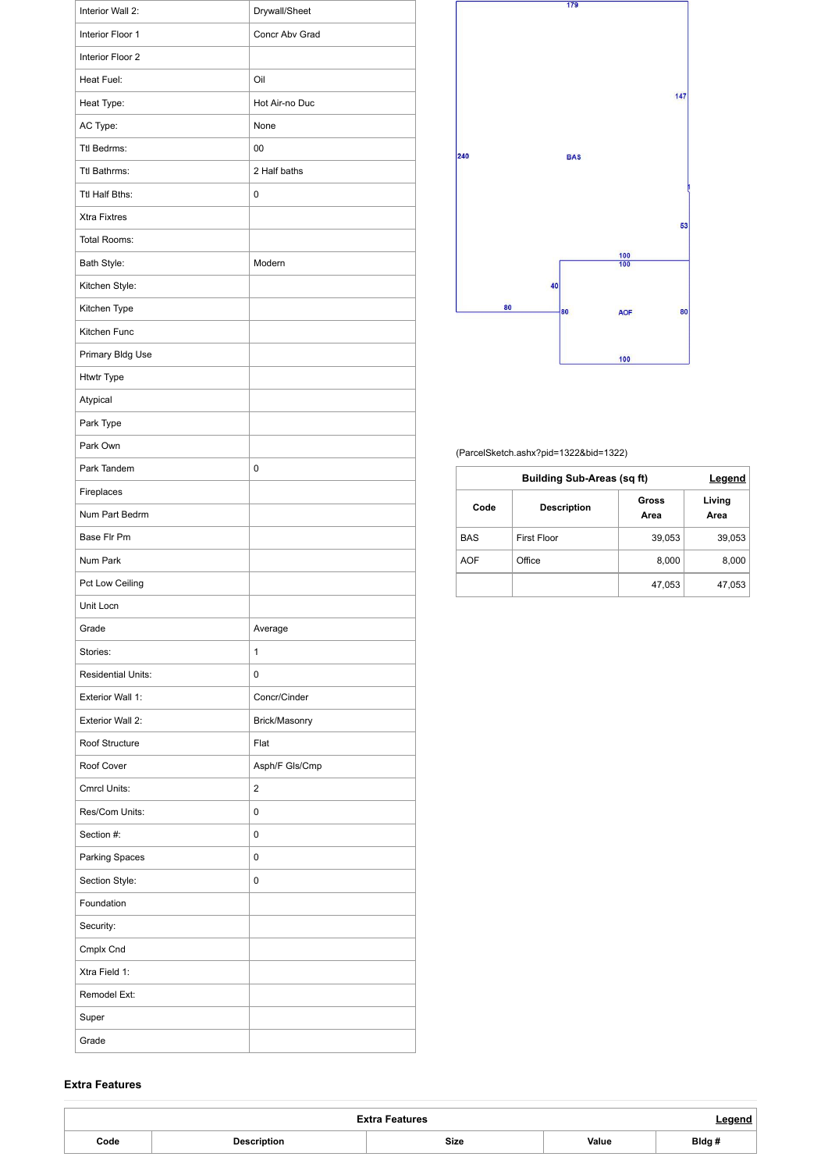| Interior Wall 2:          | Drywall/Sheet  |
|---------------------------|----------------|
| Interior Floor 1          | Concr Abv Grad |
| Interior Floor 2          |                |
| Heat Fuel:                | Oil            |
| Heat Type:                | Hot Air-no Duc |
| AC Type:                  | None           |
| Ttl Bedrms:               | 00             |
| Ttl Bathrms:              | 2 Half baths   |
| Ttl Half Bths:            | $\mathbf 0$    |
| <b>Xtra Fixtres</b>       |                |
| Total Rooms:              |                |
| Bath Style:               | Modern         |
| Kitchen Style:            |                |
| Kitchen Type              |                |
| Kitchen Func              |                |
| Primary Bldg Use          |                |
| <b>Htwtr Type</b>         |                |
| Atypical                  |                |
| Park Type                 |                |
| Park Own                  |                |
| Park Tandem               | 0              |
| Fireplaces                |                |
| Num Part Bedrm            |                |
| Base Flr Pm               |                |
| Num Park                  |                |
| Pct Low Ceiling           |                |
| Unit Locn                 |                |
| Grade                     | Average        |
| Stories:                  | 1              |
| <b>Residential Units:</b> | 0              |
| <b>Exterior Wall 1:</b>   | Concr/Cinder   |
| <b>Exterior Wall 2:</b>   | Brick/Masonry  |
| Roof Structure            | Flat           |
| Roof Cover                | Asph/F Gls/Cmp |
| Cmrcl Units:              | $\overline{2}$ |
| Res/Com Units:            | 0              |
| Section #:                | 0              |
| <b>Parking Spaces</b>     | 0              |
| Section Style:            | 0              |
| Foundation                |                |
| Security:                 |                |
| Cmplx Cnd                 |                |
| Xtra Field 1:             |                |
| Remodel Ext:              |                |
| Super                     |                |
| Grade                     |                |



#### [\(ParcelSketch.ashx?pid=1322&bid=1322\)](https://gis.vgsi.com/jaffreynh/ParcelSketch.ashx?pid=1322&bid=1322)

| <b>Building Sub-Areas (sq ft)</b> |             |               | Legend         |
|-----------------------------------|-------------|---------------|----------------|
| Code<br><b>Description</b>        |             | Gross<br>Area | Living<br>Area |
| <b>BAS</b>                        | First Floor | 39,053        | 39,053         |
| <b>AOF</b>                        | Office      | 8,000         | 8,000          |
|                                   |             | 47,053        | 47,053         |

#### **Extra Features**

| <b>Extra Features</b> |                    |             |       |       |
|-----------------------|--------------------|-------------|-------|-------|
| Code                  | <b>Description</b> | <b>Size</b> | Value | Bldg# |